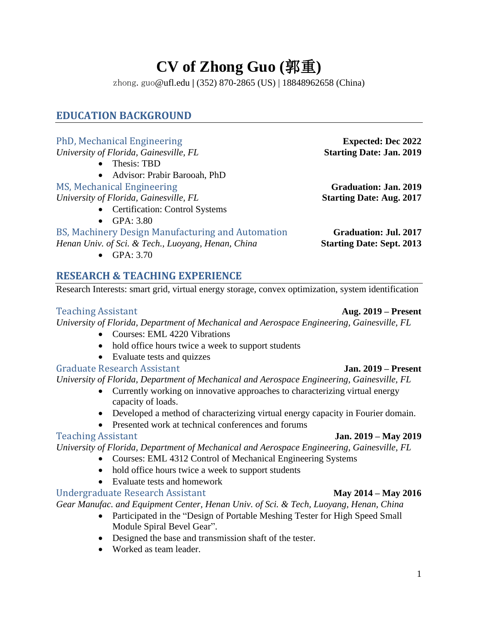# **CV of Zhong Guo (**郭重**)**

zhong.guo@ufl.edu **|** (352) 870-2865 (US) | 18848962658 (China)

# **EDUCATION BACKGROUND**

### PhD, Mechanical Engineering **Expected: Dec 2022** *University of Florida, Gainesville, FL* **Starting Date: Jan. 2019** • Thesis: TBD • Advisor: Prabir Barooah, PhD MS, Mechanical Engineering **Graduation: Jan. 2019** *University of Florida, Gainesville, FL* **Starting Date: Aug. 2017** • Certification: Control Systems • GPA: 3.80 BS, Machinery Design Manufacturing and Automation **Graduation: Jul. 2017** *Henan Univ. of Sci. & Tech., Luoyang, Henan, China* **Starting Date: Sept. 2013** • GPA: 3.70

# **RESEARCH & TEACHING EXPERIENCE**

Research Interests: smart grid, virtual energy storage, convex optimization, system identification

### Teaching Assistant **Aug. 2019 – Present**

*University of Florida, Department of Mechanical and Aerospace Engineering, Gainesville, FL*

- Courses: EML 4220 Vibrations
- hold office hours twice a week to support students
- Evaluate tests and quizzes

### Graduate Research Assistant **Jan. 2019 – Present**

*University of Florida, Department of Mechanical and Aerospace Engineering, Gainesville, FL*

- Currently working on innovative approaches to characterizing virtual energy capacity of loads.
- Developed a method of characterizing virtual energy capacity in Fourier domain.
- Presented work at technical conferences and forums

### Teaching Assistant **Jan. 2019 – May 2019**

*University of Florida, Department of Mechanical and Aerospace Engineering, Gainesville, FL*

• Courses: EML 4312 Control of Mechanical Engineering Systems

- hold office hours twice a week to support students
- Evaluate tests and homework

# Undergraduate Research Assistant **May 2014 – May 2016**

*Gear Manufac. and Equipment Center, Henan Univ. of Sci. & Tech, Luoyang, Henan, China*

- Participated in the "Design of Portable Meshing Tester for High Speed Small Module Spiral Bevel Gear".
- Designed the base and transmission shaft of the tester.
- Worked as team leader.